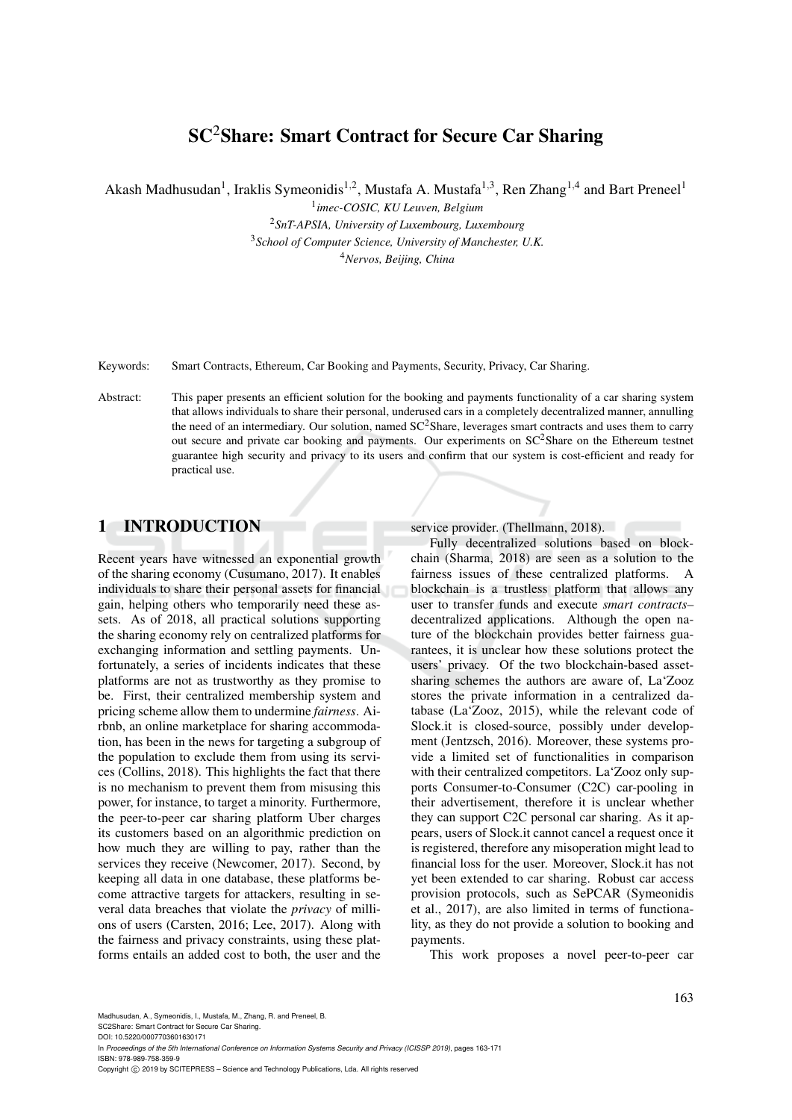# SC2Share: Smart Contract for Secure Car Sharing

Akash Madhusudan<sup>1</sup>, Iraklis Symeonidis<sup>1,2</sup>, Mustafa A. Mustafa<sup>1,3</sup>, Ren Zhang<sup>1,4</sup> and Bart Preneel<sup>1</sup>

 *imec-COSIC, KU Leuven, Belgium SnT-APSIA, University of Luxembourg, Luxembourg School of Computer Science, University of Manchester, U.K. Nervos, Beijing, China*

Keywords: Smart Contracts, Ethereum, Car Booking and Payments, Security, Privacy, Car Sharing.

Abstract: This paper presents an efficient solution for the booking and payments functionality of a car sharing system that allows individuals to share their personal, underused cars in a completely decentralized manner, annulling the need of an intermediary. Our solution, named  $SC<sup>2</sup>Share$ , leverages smart contracts and uses them to carry out secure and private car booking and payments. Our experiments on  $SC^2$ Share on the Ethereum testnet guarantee high security and privacy to its users and confirm that our system is cost-efficient and ready for practical use.

### 1 INTRODUCTION

Recent years have witnessed an exponential growth of the sharing economy (Cusumano, 2017). It enables individuals to share their personal assets for financial gain, helping others who temporarily need these assets. As of 2018, all practical solutions supporting the sharing economy rely on centralized platforms for exchanging information and settling payments. Unfortunately, a series of incidents indicates that these platforms are not as trustworthy as they promise to be. First, their centralized membership system and pricing scheme allow them to undermine *fairness*. Airbnb, an online marketplace for sharing accommodation, has been in the news for targeting a subgroup of the population to exclude them from using its services (Collins, 2018). This highlights the fact that there is no mechanism to prevent them from misusing this power, for instance, to target a minority. Furthermore, the peer-to-peer car sharing platform Uber charges its customers based on an algorithmic prediction on how much they are willing to pay, rather than the services they receive (Newcomer, 2017). Second, by keeping all data in one database, these platforms become attractive targets for attackers, resulting in several data breaches that violate the *privacy* of millions of users (Carsten, 2016; Lee, 2017). Along with the fairness and privacy constraints, using these platforms entails an added cost to both, the user and the

service provider. (Thellmann, 2018).

Fully decentralized solutions based on blockchain (Sharma, 2018) are seen as a solution to the fairness issues of these centralized platforms. A blockchain is a trustless platform that allows any user to transfer funds and execute *smart contracts*– decentralized applications. Although the open nature of the blockchain provides better fairness guarantees, it is unclear how these solutions protect the users' privacy. Of the two blockchain-based assetsharing schemes the authors are aware of, La'Zooz stores the private information in a centralized database (La'Zooz, 2015), while the relevant code of Slock.it is closed-source, possibly under development (Jentzsch, 2016). Moreover, these systems provide a limited set of functionalities in comparison with their centralized competitors. La'Zooz only supports Consumer-to-Consumer (C2C) car-pooling in their advertisement, therefore it is unclear whether they can support C2C personal car sharing. As it appears, users of Slock.it cannot cancel a request once it is registered, therefore any misoperation might lead to financial loss for the user. Moreover, Slock.it has not yet been extended to car sharing. Robust car access provision protocols, such as SePCAR (Symeonidis et al., 2017), are also limited in terms of functionality, as they do not provide a solution to booking and payments.

This work proposes a novel peer-to-peer car

Madhusudan, A., Symeonidis, I., Mustafa, M., Zhang, R. and Preneel, B.

SC2Share: Smart Contract for Secure Car Sharing. DOI: 10.5220/0007703601630171

In *Proceedings of the 5th International Conference on Information Systems Security and Privacy (ICISSP 2019)*, pages 163-171 ISBN: 978-989-758-359-9

Copyright © 2019 by SCITEPRESS - Science and Technology Publications, Lda. All rights reserved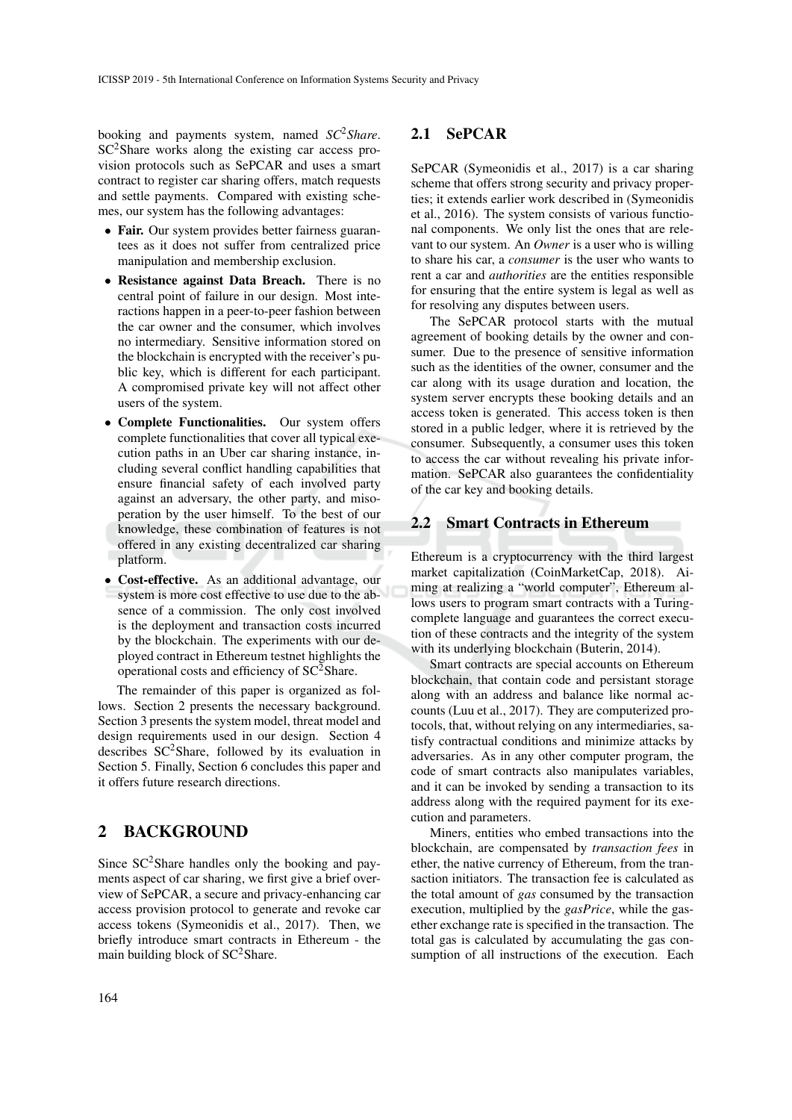booking and payments system, named *SC*2*Share*.  $SC<sup>2</sup>$ Share works along the existing car access provision protocols such as SePCAR and uses a smart contract to register car sharing offers, match requests and settle payments. Compared with existing schemes, our system has the following advantages:

- Fair. Our system provides better fairness guarantees as it does not suffer from centralized price manipulation and membership exclusion.
- Resistance against Data Breach. There is no central point of failure in our design. Most interactions happen in a peer-to-peer fashion between the car owner and the consumer, which involves no intermediary. Sensitive information stored on the blockchain is encrypted with the receiver's public key, which is different for each participant. A compromised private key will not affect other users of the system.
- Complete Functionalities. Our system offers complete functionalities that cover all typical execution paths in an Uber car sharing instance, including several conflict handling capabilities that ensure financial safety of each involved party against an adversary, the other party, and misoperation by the user himself. To the best of our knowledge, these combination of features is not offered in any existing decentralized car sharing platform.
- Cost-effective. As an additional advantage, our system is more cost effective to use due to the absence of a commission. The only cost involved is the deployment and transaction costs incurred by the blockchain. The experiments with our deployed contract in Ethereum testnet highlights the operational costs and efficiency of  $SC^2$ Share.

The remainder of this paper is organized as follows. Section 2 presents the necessary background. Section 3 presents the system model, threat model and design requirements used in our design. Section 4 describes  $SC^2$ Share, followed by its evaluation in Section 5. Finally, Section 6 concludes this paper and it offers future research directions.

## 2 BACKGROUND

Since  $SC^2$ Share handles only the booking and payments aspect of car sharing, we first give a brief overview of SePCAR, a secure and privacy-enhancing car access provision protocol to generate and revoke car access tokens (Symeonidis et al., 2017). Then, we briefly introduce smart contracts in Ethereum - the main building block of  $SC^2$ Share.

### 2.1 SePCAR

SePCAR (Symeonidis et al., 2017) is a car sharing scheme that offers strong security and privacy properties; it extends earlier work described in (Symeonidis et al., 2016). The system consists of various functional components. We only list the ones that are relevant to our system. An *Owner* is a user who is willing to share his car, a *consumer* is the user who wants to rent a car and *authorities* are the entities responsible for ensuring that the entire system is legal as well as for resolving any disputes between users.

The SePCAR protocol starts with the mutual agreement of booking details by the owner and consumer. Due to the presence of sensitive information such as the identities of the owner, consumer and the car along with its usage duration and location, the system server encrypts these booking details and an access token is generated. This access token is then stored in a public ledger, where it is retrieved by the consumer. Subsequently, a consumer uses this token to access the car without revealing his private information. SePCAR also guarantees the confidentiality of the car key and booking details.

### 2.2 Smart Contracts in Ethereum

Ethereum is a cryptocurrency with the third largest market capitalization (CoinMarketCap, 2018). Aiming at realizing a "world computer", Ethereum allows users to program smart contracts with a Turingcomplete language and guarantees the correct execution of these contracts and the integrity of the system with its underlying blockchain (Buterin, 2014).

Smart contracts are special accounts on Ethereum blockchain, that contain code and persistant storage along with an address and balance like normal accounts (Luu et al., 2017). They are computerized protocols, that, without relying on any intermediaries, satisfy contractual conditions and minimize attacks by adversaries. As in any other computer program, the code of smart contracts also manipulates variables, and it can be invoked by sending a transaction to its address along with the required payment for its execution and parameters.

Miners, entities who embed transactions into the blockchain, are compensated by *transaction fees* in ether, the native currency of Ethereum, from the transaction initiators. The transaction fee is calculated as the total amount of *gas* consumed by the transaction execution, multiplied by the *gasPrice*, while the gasether exchange rate is specified in the transaction. The total gas is calculated by accumulating the gas consumption of all instructions of the execution. Each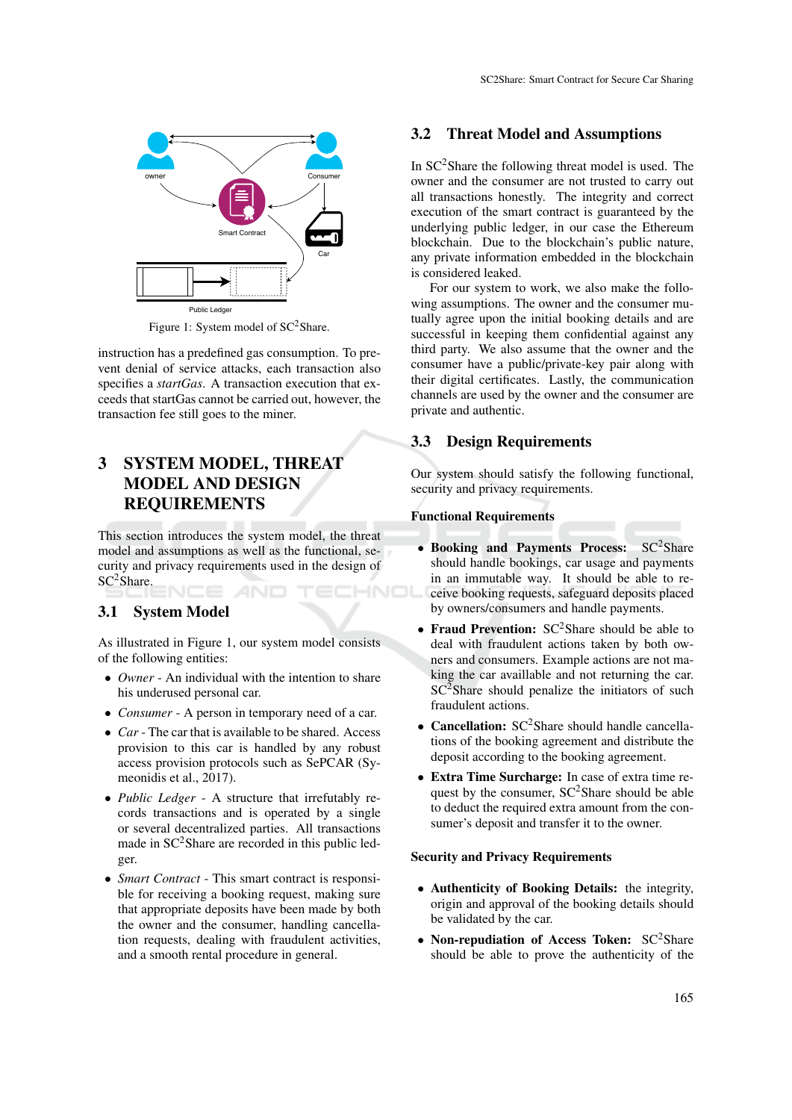

Figure 1: System model of SC<sup>2</sup>Share.

instruction has a predefined gas consumption. To prevent denial of service attacks, each transaction also specifies a *startGas*. A transaction execution that exceeds that startGas cannot be carried out, however, the transaction fee still goes to the miner.

# 3 SYSTEM MODEL, THREAT MODEL AND DESIGN REQUIREMENTS

This section introduces the system model, the threat model and assumptions as well as the functional, security and privacy requirements used in the design of SC<sup>2</sup>Share. HNOL

## 3.1 System Model

As illustrated in Figure 1, our system model consists of the following entities:

- *Owner* An individual with the intention to share his underused personal car.
- *Consumer* A person in temporary need of a car.
- *Car* The car that is available to be shared. Access provision to this car is handled by any robust access provision protocols such as SePCAR (Symeonidis et al., 2017).
- *Public Ledger* A structure that irrefutably records transactions and is operated by a single or several decentralized parties. All transactions made in  $SC<sup>2</sup>$ Share are recorded in this public ledger.
- *Smart Contract* This smart contract is responsible for receiving a booking request, making sure that appropriate deposits have been made by both the owner and the consumer, handling cancellation requests, dealing with fraudulent activities, and a smooth rental procedure in general.

### 3.2 Threat Model and Assumptions

In SC2Share the following threat model is used. The owner and the consumer are not trusted to carry out all transactions honestly. The integrity and correct execution of the smart contract is guaranteed by the underlying public ledger, in our case the Ethereum blockchain. Due to the blockchain's public nature, any private information embedded in the blockchain is considered leaked.

For our system to work, we also make the following assumptions. The owner and the consumer mutually agree upon the initial booking details and are successful in keeping them confidential against any third party. We also assume that the owner and the consumer have a public/private-key pair along with their digital certificates. Lastly, the communication channels are used by the owner and the consumer are private and authentic.

### 3.3 Design Requirements

Our system should satisfy the following functional, security and privacy requirements.

#### Functional Requirements

- Booking and Payments Process: SC<sup>2</sup>Share should handle bookings, car usage and payments in an immutable way. It should be able to receive booking requests, safeguard deposits placed by owners/consumers and handle payments.
- Fraud Prevention:  $SC^2$ Share should be able to deal with fraudulent actions taken by both owners and consumers. Example actions are not making the car availlable and not returning the car.  $SC<sup>2</sup>Share should penalize the initiality of such$ fraudulent actions.
- Cancellation:  $SC^2$ Share should handle cancellations of the booking agreement and distribute the deposit according to the booking agreement.
- Extra Time Surcharge: In case of extra time request by the consumer,  $SC^2$ Share should be able to deduct the required extra amount from the consumer's deposit and transfer it to the owner.

#### Security and Privacy Requirements

- Authenticity of Booking Details: the integrity, origin and approval of the booking details should be validated by the car.
- Non-repudiation of Access Token:  $SC^2$ Share should be able to prove the authenticity of the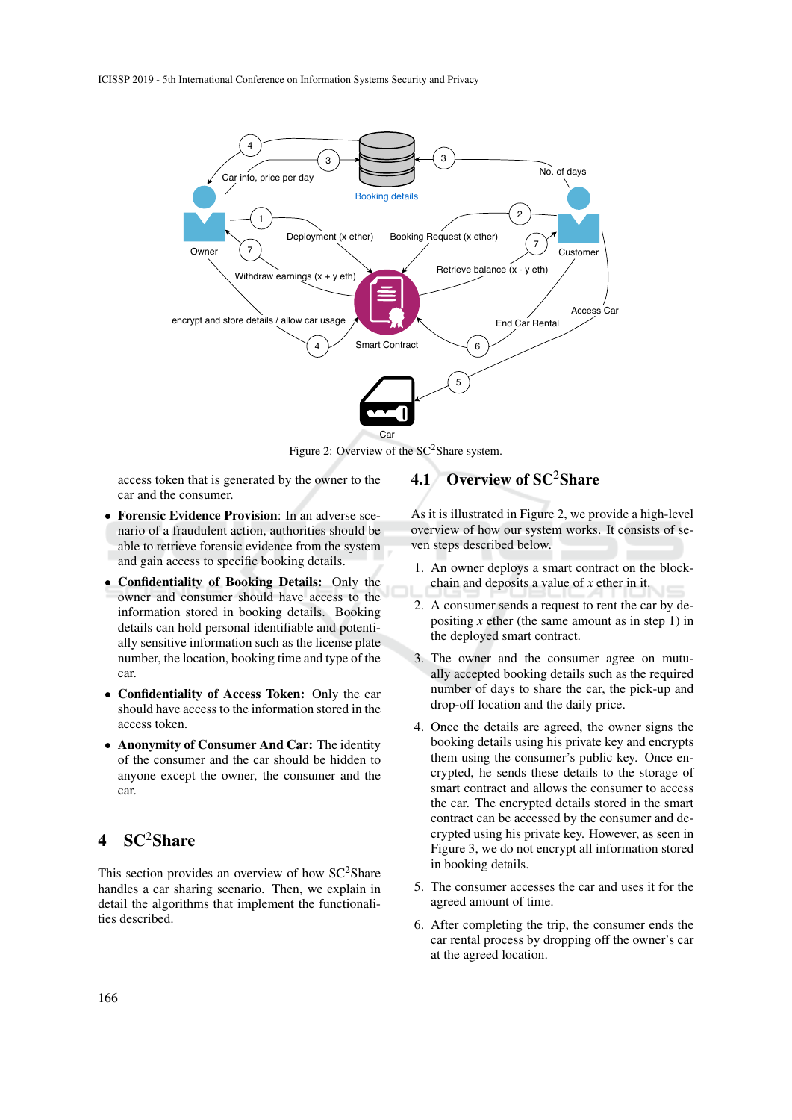

Figure 2: Overview of the  $SC^2$ Share system.

access token that is generated by the owner to the car and the consumer.

- Forensic Evidence Provision: In an adverse scenario of a fraudulent action, authorities should be able to retrieve forensic evidence from the system and gain access to specific booking details.
- Confidentiality of Booking Details: Only the owner and consumer should have access to the information stored in booking details. Booking details can hold personal identifiable and potentially sensitive information such as the license plate number, the location, booking time and type of the car.
- Confidentiality of Access Token: Only the car should have access to the information stored in the access token.
- Anonymity of Consumer And Car: The identity of the consumer and the car should be hidden to anyone except the owner, the consumer and the car.

# $SC<sup>2</sup>Share$

This section provides an overview of how  $SC<sup>2</sup>Share$ handles a car sharing scenario. Then, we explain in detail the algorithms that implement the functionalities described.

# 4.1 Overview of SC<sup>2</sup>Share

As it is illustrated in Figure 2, we provide a high-level overview of how our system works. It consists of seven steps described below.

- 1. An owner deploys a smart contract on the blockchain and deposits a value of *x* ether in it.
- 2. A consumer sends a request to rent the car by depositing  $x$  ether (the same amount as in step 1) in the deployed smart contract.
- 3. The owner and the consumer agree on mutually accepted booking details such as the required number of days to share the car, the pick-up and drop-off location and the daily price.
- 4. Once the details are agreed, the owner signs the booking details using his private key and encrypts them using the consumer's public key. Once encrypted, he sends these details to the storage of smart contract and allows the consumer to access the car. The encrypted details stored in the smart contract can be accessed by the consumer and decrypted using his private key. However, as seen in Figure 3, we do not encrypt all information stored in booking details.
- 5. The consumer accesses the car and uses it for the agreed amount of time.
- 6. After completing the trip, the consumer ends the car rental process by dropping off the owner's car at the agreed location.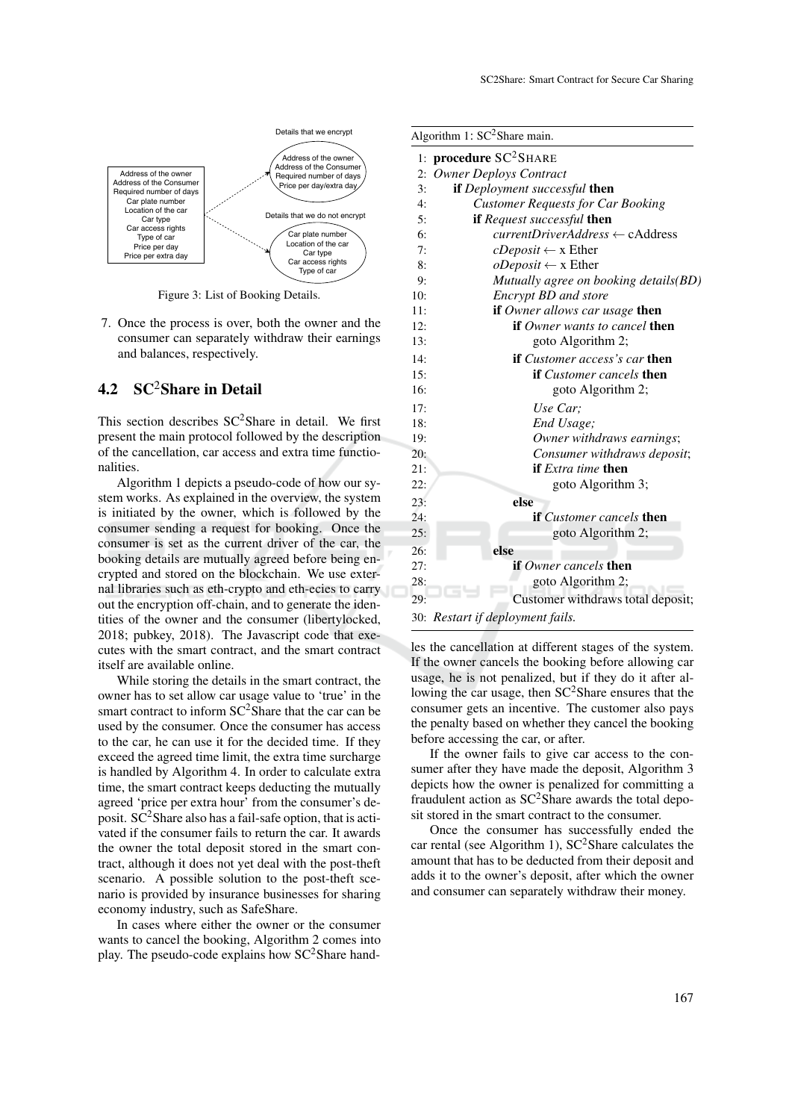

Figure 3: List of Booking Details.

7. Once the process is over, both the owner and the consumer can separately withdraw their earnings and balances, respectively.

## 4.2 SC<sup>2</sup>Share in Detail

This section describes  $SC^2$ Share in detail. We first present the main protocol followed by the description of the cancellation, car access and extra time functionalities.

Algorithm 1 depicts a pseudo-code of how our system works. As explained in the overview, the system is initiated by the owner, which is followed by the consumer sending a request for booking. Once the consumer is set as the current driver of the car, the booking details are mutually agreed before being encrypted and stored on the blockchain. We use external libraries such as eth-crypto and eth-ecies to carry out the encryption off-chain, and to generate the identities of the owner and the consumer (libertylocked, 2018; pubkey, 2018). The Javascript code that executes with the smart contract, and the smart contract itself are available online.

While storing the details in the smart contract, the owner has to set allow car usage value to 'true' in the smart contract to inform  $SC^2$ Share that the car can be used by the consumer. Once the consumer has access to the car, he can use it for the decided time. If they exceed the agreed time limit, the extra time surcharge is handled by Algorithm 4. In order to calculate extra time, the smart contract keeps deducting the mutually agreed 'price per extra hour' from the consumer's deposit.  $SC<sup>2</sup>$ Share also has a fail-safe option, that is activated if the consumer fails to return the car. It awards the owner the total deposit stored in the smart contract, although it does not yet deal with the post-theft scenario. A possible solution to the post-theft scenario is provided by insurance businesses for sharing economy industry, such as SafeShare.

In cases where either the owner or the consumer wants to cancel the booking, Algorithm 2 comes into play. The pseudo-code explains how  $SC^2$ Share hand-

|     | Algorithm 1: $SC^2$ Share main.              |  |  |  |  |
|-----|----------------------------------------------|--|--|--|--|
| 1:  | procedure $SC^2$ SHARE                       |  |  |  |  |
| 2:  | <b>Owner Deploys Contract</b>                |  |  |  |  |
| 3:  | <b>if</b> Deployment successful then         |  |  |  |  |
| 4:  | <b>Customer Requests for Car Booking</b>     |  |  |  |  |
| 5:  | if Request successful then                   |  |  |  |  |
| 6:  | $currentDirect Address \leftarrow cAddress$  |  |  |  |  |
| 7:  | $cDeposit \leftarrow x$ Ether                |  |  |  |  |
| 8:  | $oDeposit \leftarrow x$ Ether                |  |  |  |  |
| 9:  | Mutually agree on booking details(BD)        |  |  |  |  |
| 10: | Encrypt BD and store                         |  |  |  |  |
| 11: | <b>if</b> Owner allows car usage <b>then</b> |  |  |  |  |
| 12: | <b>if</b> Owner wants to cancel <b>then</b>  |  |  |  |  |
| 13: | goto Algorithm 2;                            |  |  |  |  |
| 14: | <b>if</b> Customer access's car <b>then</b>  |  |  |  |  |
| 15: | <b>if</b> Customer cancels <b>then</b>       |  |  |  |  |
| 16: | goto Algorithm 2;                            |  |  |  |  |
| 17: | Use Car:                                     |  |  |  |  |
| 18: | End Usage;                                   |  |  |  |  |
| 19: | Owner withdraws earnings;                    |  |  |  |  |
| 20: | Consumer withdraws deposit;                  |  |  |  |  |
| 21: | <b>if</b> Extra time <b>then</b>             |  |  |  |  |
| 22: | goto Algorithm 3;                            |  |  |  |  |
| 23: | else                                         |  |  |  |  |
| 24: | <b>if</b> Customer cancels <b>then</b>       |  |  |  |  |
| 25: | goto Algorithm 2;                            |  |  |  |  |
| 26: | else                                         |  |  |  |  |
| 27: | <b>if</b> Owner cancels <b>then</b>          |  |  |  |  |
| 28: | goto Algorithm 2;                            |  |  |  |  |
| 29: | Customer withdraws total deposit;            |  |  |  |  |
|     |                                              |  |  |  |  |

<sup>30:</sup> *Restart if deployment fails.*

les the cancellation at different stages of the system. If the owner cancels the booking before allowing car usage, he is not penalized, but if they do it after allowing the car usage, then SC<sup>2</sup>Share ensures that the consumer gets an incentive. The customer also pays the penalty based on whether they cancel the booking before accessing the car, or after.

If the owner fails to give car access to the consumer after they have made the deposit, Algorithm 3 depicts how the owner is penalized for committing a fraudulent action as  $SC^2$ Share awards the total deposit stored in the smart contract to the consumer.

Once the consumer has successfully ended the car rental (see Algorithm 1),  $SC^2$ Share calculates the amount that has to be deducted from their deposit and adds it to the owner's deposit, after which the owner and consumer can separately withdraw their money.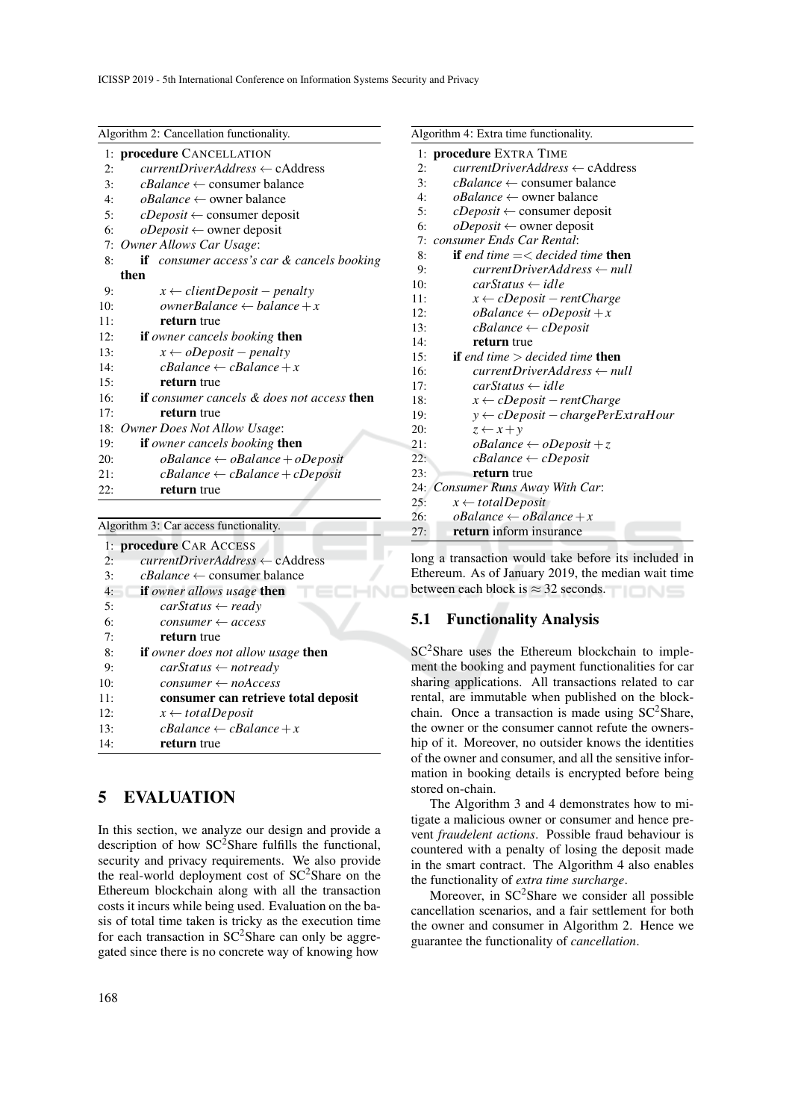| Algorithm 2: Cancellation functionality.                             |  |  |  |
|----------------------------------------------------------------------|--|--|--|
|                                                                      |  |  |  |
| 1: <b>procedure</b> CANCELLATION                                     |  |  |  |
| $currentDirierAddress \leftarrow cAddress$                           |  |  |  |
| $cBalance \leftarrow \text{ consumer balance}$                       |  |  |  |
| $\alpha$ <i>Balance</i> $\leftarrow$ owner balance                   |  |  |  |
| $cDeposit \leftarrow \text{ consumer deposit}$                       |  |  |  |
| $oDeposit \leftarrow$ owner deposit                                  |  |  |  |
| Owner Allows Car Usage:                                              |  |  |  |
| if consumer access's car & cancels booking                           |  |  |  |
| then                                                                 |  |  |  |
| $x \leftarrow clientDeposit - penalty$                               |  |  |  |
| ownerBalance $\leftarrow$ balance $+x$                               |  |  |  |
| return true                                                          |  |  |  |
| if owner cancels booking then                                        |  |  |  |
| $x \leftarrow oDeposit - penalty$                                    |  |  |  |
| $cBalance \leftarrow cBalance + x$                                   |  |  |  |
| return true                                                          |  |  |  |
| 16:<br><b>if</b> consumer cancels & does not access <b>then</b>      |  |  |  |
| return true                                                          |  |  |  |
| Owner Does Not Allow Usage:                                          |  |  |  |
| <b>if</b> owner cancels booking <b>then</b>                          |  |  |  |
| $\alpha$ Balance $\leftarrow \alpha$ Balance + $\alpha$ Deposit      |  |  |  |
| $\textit{cBalance} \leftarrow \textit{cBalance} + \textit{cDeposit}$ |  |  |  |
| return true                                                          |  |  |  |
|                                                                      |  |  |  |

| Algorithm 3: Car access functionality.                       |  |  |  |  |
|--------------------------------------------------------------|--|--|--|--|
| 1: <b>procedure</b> CAR ACCESS                               |  |  |  |  |
| $currentDirierAddress \leftarrow cAddress$<br>2:             |  |  |  |  |
| 3:<br>$\textit{cBalance} \leftarrow \text{consumer balance}$ |  |  |  |  |
| <b>if</b> owner allows usage <b>then</b><br>4:               |  |  |  |  |
| 5:<br>$carStatus \leftarrow ready$                           |  |  |  |  |
| 6:<br>$consumer \leftarrow access$                           |  |  |  |  |
| 7:<br>return true                                            |  |  |  |  |
| 8:<br><b>if</b> owner does not allow usage <b>then</b>       |  |  |  |  |
| 9:<br>$carStatus \leftarrow not ready$                       |  |  |  |  |
| $consumer \leftarrow noAccess$<br>10:                        |  |  |  |  |
| consumer can retrieve total deposit<br>11:                   |  |  |  |  |
| $x \leftarrow totalDeposit$<br>12:                           |  |  |  |  |
| $cBalance \leftarrow cBalance + x$<br>13:                    |  |  |  |  |
| 14:<br>return true                                           |  |  |  |  |

## 5 EVALUATION

In this section, we analyze our design and provide a description of how  $SC^2$ Share fulfills the functional, security and privacy requirements. We also provide the real-world deployment cost of SC<sup>2</sup>Share on the Ethereum blockchain along with all the transaction costs it incurs while being used. Evaluation on the basis of total time taken is tricky as the execution time for each transaction in  $SC^2$ Share can only be aggregated since there is no concrete way of knowing how

| Algorithm 4: Extra time functionality. |                                                        |  |  |  |  |
|----------------------------------------|--------------------------------------------------------|--|--|--|--|
| 1:                                     | procedure EXTRA TIME                                   |  |  |  |  |
| 2:                                     | $currentDirect Address \leftarrow$ cAddress            |  |  |  |  |
| 3:                                     | $\textit{cBalance} \leftarrow \text{consumer balance}$ |  |  |  |  |
| 4:                                     | $\alpha$ <i>Balance</i> $\leftarrow$ owner balance     |  |  |  |  |
| 5:                                     | $cDeposit \leftarrow \text{ consumer deposit}$         |  |  |  |  |
| 6:                                     | $oDeposit \leftarrow$ owner deposit                    |  |  |  |  |
| 7:                                     | consumer Ends Car Rental:                              |  |  |  |  |
| 8:                                     | <b>if</b> end time $=\lt d$ ecided time <b>then</b>    |  |  |  |  |
| 9:                                     | $currentDriverAddress \leftarrow null$                 |  |  |  |  |
| 10:                                    | $carStatus \leftarrow idle$                            |  |  |  |  |
| 11:                                    | $x \leftarrow cDeposit - rent Charge$                  |  |  |  |  |
| 12:                                    | $\alpha$ Balance $\leftarrow \alpha$ Deposit + x       |  |  |  |  |
| 13:                                    | $c$ Balance $\leftarrow$ cDeposit                      |  |  |  |  |
| 14:                                    | return true                                            |  |  |  |  |
| 15:                                    | <b>if</b> end time $>$ decided time <b>then</b>        |  |  |  |  |
| 16:                                    | $currentDriverAddress \leftarrow null$                 |  |  |  |  |
| 17:                                    | $carStatus \leftarrow idle$                            |  |  |  |  |
| 18:                                    | $x \leftarrow cDeposit - rent Charge$                  |  |  |  |  |
| 19:                                    | $y \leftarrow cDeposit - chargePerExtraHour$           |  |  |  |  |
| 20:                                    | $z \leftarrow x + y$                                   |  |  |  |  |
| 21:                                    | $\alpha$ Balance $\leftarrow \alpha$ Deposit + z       |  |  |  |  |
| 22:                                    | $c$ Balance $\leftarrow$ cDeposit                      |  |  |  |  |
| 23:                                    | return true                                            |  |  |  |  |
|                                        | 24: Consumer Runs Away With Car:                       |  |  |  |  |
| 25:                                    | $x \leftarrow totalDeposit$                            |  |  |  |  |
| 26:                                    | $\alpha$ Balance $\leftarrow \alpha$ Balance + x       |  |  |  |  |
| 27:                                    | <b>return</b> inform insurance                         |  |  |  |  |

long a transaction would take before its included in Ethereum. As of January 2019, the median wait time between each block is  $\approx$  32 seconds.

## 5.1 Functionality Analysis

SC<sup>2</sup>Share uses the Ethereum blockchain to implement the booking and payment functionalities for car sharing applications. All transactions related to car rental, are immutable when published on the blockchain. Once a transaction is made using  $SC^2$ Share, the owner or the consumer cannot refute the ownership of it. Moreover, no outsider knows the identities of the owner and consumer, and all the sensitive information in booking details is encrypted before being stored on-chain.

The Algorithm 3 and 4 demonstrates how to mitigate a malicious owner or consumer and hence prevent *fraudelent actions*. Possible fraud behaviour is countered with a penalty of losing the deposit made in the smart contract. The Algorithm 4 also enables the functionality of *extra time surcharge*.

Moreover, in SC<sup>2</sup>Share we consider all possible cancellation scenarios, and a fair settlement for both the owner and consumer in Algorithm 2. Hence we guarantee the functionality of *cancellation*.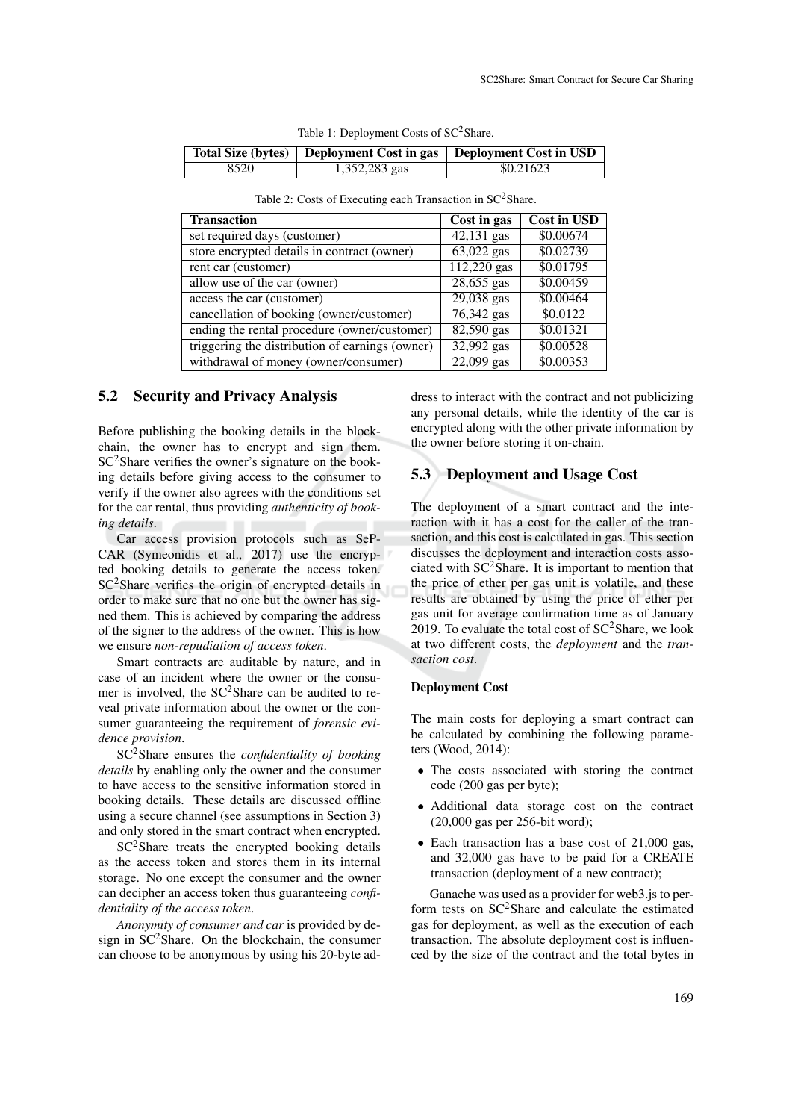|      |               | Total Size (bytes)   Deployment Cost in gas   Deployment Cost in USD |
|------|---------------|----------------------------------------------------------------------|
| 8520 | 1,352,283 gas | \$0.21623                                                            |

|  | Table 1: Deployment Costs of SC <sup>2</sup> Share. |  |
|--|-----------------------------------------------------|--|
|--|-----------------------------------------------------|--|

|  |  |  |  | Table 2: Costs of Executing each Transaction in SC <sup>2</sup> Share. |  |  |
|--|--|--|--|------------------------------------------------------------------------|--|--|
|--|--|--|--|------------------------------------------------------------------------|--|--|

| <b>Transaction</b>                              | Cost in gas  | <b>Cost in USD</b> |
|-------------------------------------------------|--------------|--------------------|
| set required days (customer)                    | $42,131$ gas | \$0.00674          |
| store encrypted details in contract (owner)     | 63,022 gas   | \$0.02739          |
| rent car (customer)                             | 112,220 gas  | \$0.01795          |
| allow use of the car (owner)                    | 28,655 gas   | \$0.00459          |
| access the car (customer)                       | 29,038 gas   | \$0.00464          |
| cancellation of booking (owner/customer)        | $76,342$ gas | \$0.0122           |
| ending the rental procedure (owner/customer)    | 82,590 gas   | \$0.01321          |
| triggering the distribution of earnings (owner) | 32,992 gas   | \$0.00528          |
| withdrawal of money (owner/consumer)            | $22,099$ gas | \$0.00353          |

### 5.2 Security and Privacy Analysis

Before publishing the booking details in the blockchain, the owner has to encrypt and sign them.  $SC<sup>2</sup>$ Share verifies the owner's signature on the booking details before giving access to the consumer to verify if the owner also agrees with the conditions set for the car rental, thus providing *authenticity of booking details*.

Car access provision protocols such as SeP-CAR (Symeonidis et al., 2017) use the encrypted booking details to generate the access token.  $SC<sup>2</sup>Share verifies the origin of encrypted details in$ order to make sure that no one but the owner has signed them. This is achieved by comparing the address of the signer to the address of the owner. This is how we ensure *non-repudiation of access token*.

Smart contracts are auditable by nature, and in case of an incident where the owner or the consumer is involved, the  $SC^2$ Share can be audited to reveal private information about the owner or the consumer guaranteeing the requirement of *forensic evidence provision*.

SC2Share ensures the *confidentiality of booking details* by enabling only the owner and the consumer to have access to the sensitive information stored in booking details. These details are discussed offline using a secure channel (see assumptions in Section 3) and only stored in the smart contract when encrypted.

 $SC<sup>2</sup>Share treats the encrypted boosting details$ as the access token and stores them in its internal storage. No one except the consumer and the owner can decipher an access token thus guaranteeing *confidentiality of the access token*.

*Anonymity of consumer and car* is provided by design in  $SC^2$ Share. On the blockchain, the consumer can choose to be anonymous by using his 20-byte address to interact with the contract and not publicizing any personal details, while the identity of the car is encrypted along with the other private information by the owner before storing it on-chain.

## 5.3 Deployment and Usage Cost

The deployment of a smart contract and the interaction with it has a cost for the caller of the transaction, and this cost is calculated in gas. This section discusses the deployment and interaction costs associated with  $SC^2$ Share. It is important to mention that the price of ether per gas unit is volatile, and these results are obtained by using the price of ether per gas unit for average confirmation time as of January 2019. To evaluate the total cost of  $SC^2$ Share, we look at two different costs, the *deployment* and the *transaction cost*.

### Deployment Cost

The main costs for deploying a smart contract can be calculated by combining the following parameters (Wood, 2014):

- The costs associated with storing the contract code (200 gas per byte);
- Additional data storage cost on the contract (20,000 gas per 256-bit word);
- Each transaction has a base cost of 21,000 gas, and 32,000 gas have to be paid for a CREATE transaction (deployment of a new contract);

Ganache was used as a provider for web3.js to perform tests on SC<sup>2</sup>Share and calculate the estimated gas for deployment, as well as the execution of each transaction. The absolute deployment cost is influenced by the size of the contract and the total bytes in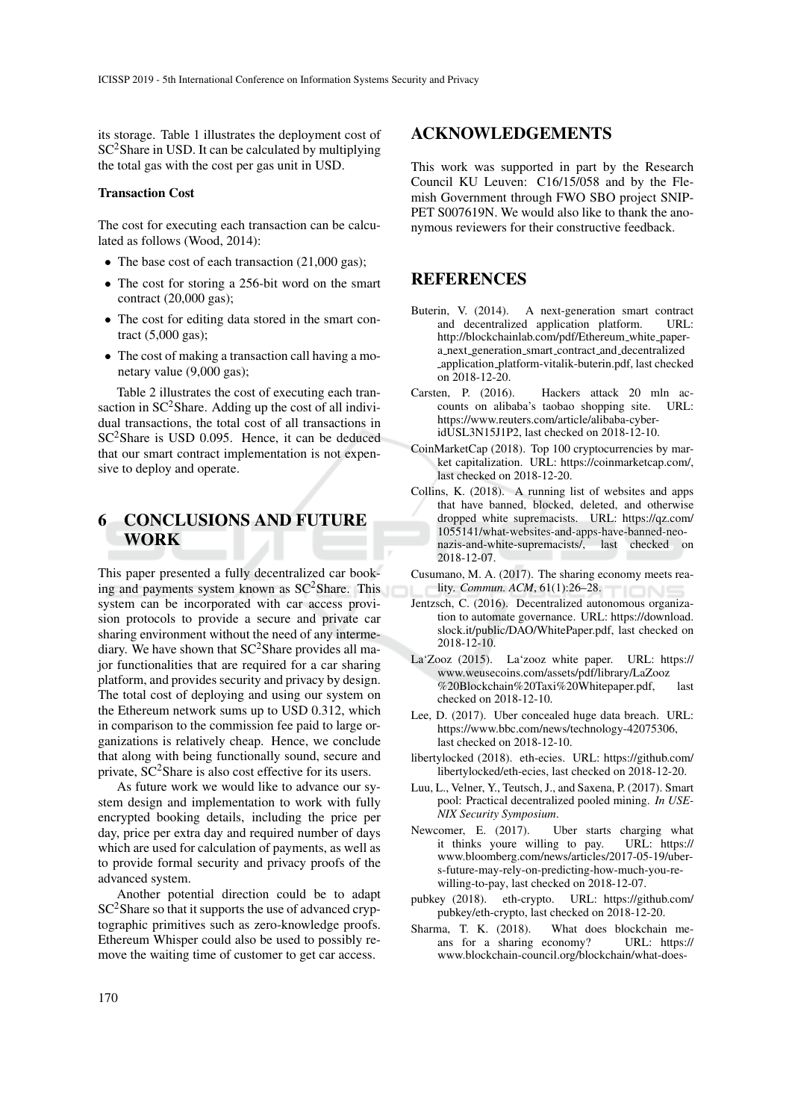its storage. Table 1 illustrates the deployment cost of  $SC<sup>2</sup>Share in USD. It can be calculated by multiplying$ the total gas with the cost per gas unit in USD.

#### Transaction Cost

The cost for executing each transaction can be calculated as follows (Wood, 2014):

- The base cost of each transaction (21,000 gas);
- The cost for storing a 256-bit word on the smart contract (20,000 gas);
- The cost for editing data stored in the smart contract (5,000 gas);
- The cost of making a transaction call having a monetary value (9,000 gas);

Table 2 illustrates the cost of executing each transaction in  $SC^2$ Share. Adding up the cost of all individual transactions, the total cost of all transactions in SC2Share is USD 0.095. Hence, it can be deduced that our smart contract implementation is not expensive to deploy and operate.

## 6 CONCLUSIONS AND FUTURE WORK

This paper presented a fully decentralized car booking and payments system known as  $SC^2$ Share. This system can be incorporated with car access provision protocols to provide a secure and private car sharing environment without the need of any intermediary. We have shown that  $SC^2$ Share provides all major functionalities that are required for a car sharing platform, and provides security and privacy by design. The total cost of deploying and using our system on the Ethereum network sums up to USD 0.312, which in comparison to the commission fee paid to large organizations is relatively cheap. Hence, we conclude that along with being functionally sound, secure and private,  $SC^2$ Share is also cost effective for its users.

As future work we would like to advance our system design and implementation to work with fully encrypted booking details, including the price per day, price per extra day and required number of days which are used for calculation of payments, as well as to provide formal security and privacy proofs of the advanced system.

Another potential direction could be to adapt SC<sup>2</sup>Share so that it supports the use of advanced cryptographic primitives such as zero-knowledge proofs. Ethereum Whisper could also be used to possibly remove the waiting time of customer to get car access.

## ACKNOWLEDGEMENTS

This work was supported in part by the Research Council KU Leuven: C16/15/058 and by the Flemish Government through FWO SBO project SNIP-PET S007619N. We would also like to thank the anonymous reviewers for their constructive feedback.

## **REFERENCES**

- Buterin, V. (2014). A next-generation smart contract and decentralized application platform. URL: http://blockchainlab.com/pdf/Ethereum\_white\_papera next generation smart contract and decentralized application platform-vitalik-buterin.pdf, last checked on 2018-12-20.
- Carsten, P. (2016). Hackers attack 20 mln ac-<br>
counts on alibaba's taobao shonning site URI counts on alibaba's taobao shopping site. https://www.reuters.com/article/alibaba-cyberidUSL3N15J1P2, last checked on 2018-12-10.
- CoinMarketCap (2018). Top 100 cryptocurrencies by market capitalization. URL: https://coinmarketcap.com/, last checked on 2018-12-20.
- Collins, K. (2018). A running list of websites and apps that have banned, blocked, deleted, and otherwise dropped white supremacists. URL: https://qz.com/ 1055141/what-websites-and-apps-have-banned-neonazis-and-white-supremacists/, last checked on 2018-12-07.
- Cusumano, M. A. (2017). The sharing economy meets reality. *Commun. ACM*, 61(1):26–28.
- Jentzsch, C. (2016). Decentralized autonomous organization to automate governance. URL: https://download. slock.it/public/DAO/WhitePaper.pdf, last checked on 2018-12-10.
- La'Zooz (2015). La'zooz white paper. URL: https:// www.weusecoins.com/assets/pdf/library/LaZooz %20Blockchain%20Taxi%20Whitepaper.pdf, last checked on 2018-12-10.
- Lee, D. (2017). Uber concealed huge data breach. URL: https://www.bbc.com/news/technology-42075306, last checked on 2018-12-10.
- libertylocked (2018). eth-ecies. URL: https://github.com/ libertylocked/eth-ecies, last checked on 2018-12-20.
- Luu, L., Velner, Y., Teutsch, J., and Saxena, P. (2017). Smart pool: Practical decentralized pooled mining. *In USE-NIX Security Symposium*.
- Newcomer, E. (2017). Uber starts charging what<br>it thinks youre willing to pay. URL: https:// it thinks youre willing to pay. www.bloomberg.com/news/articles/2017-05-19/ubers-future-may-rely-on-predicting-how-much-you-rewilling-to-pay, last checked on 2018-12-07.
- pubkey (2018). eth-crypto. URL: https://github.com/ pubkey/eth-crypto, last checked on 2018-12-20.
- Sharma, T. K. (2018). What does blockchain me-<br>ans for a sharing economy? URL: https:// ans for a sharing economy? www.blockchain-council.org/blockchain/what-does-